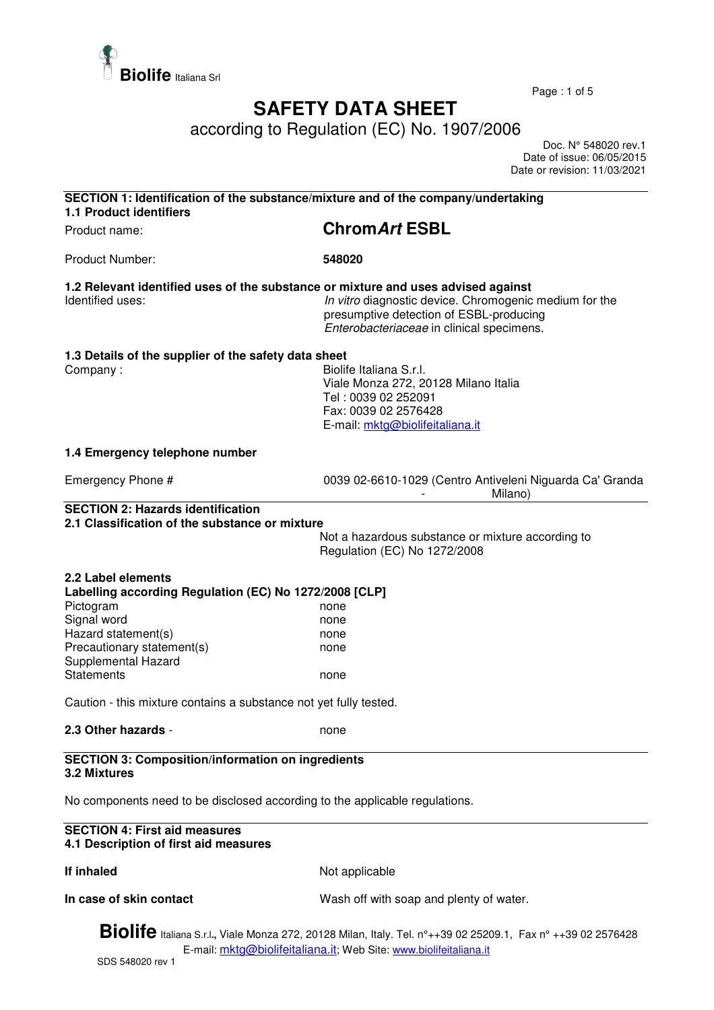

Page : 1 of 5

## **SAFETY DATA SHEET**

according to Regulation (EC) No. 1907/2006

 Doc. N° 548020 rev.1 Date of issue: 06/05/2015 Date or revision: 11/03/2021

| <b>1.1 Product identifiers</b>                                                                                                                                                                                                                                                 | SECTION 1: Identification of the substance/mixture and of the company/undertaking                                                                                                        |
|--------------------------------------------------------------------------------------------------------------------------------------------------------------------------------------------------------------------------------------------------------------------------------|------------------------------------------------------------------------------------------------------------------------------------------------------------------------------------------|
| Product name:                                                                                                                                                                                                                                                                  | <b>ChromArt ESBL</b>                                                                                                                                                                     |
| <b>Product Number:</b>                                                                                                                                                                                                                                                         | 548020                                                                                                                                                                                   |
| 1.2 Relevant identified uses of the substance or mixture and uses advised against<br>Identified uses:                                                                                                                                                                          | In vitro diagnostic device. Chromogenic medium for the<br>presumptive detection of ESBL-producing<br>Enterobacteriaceae in clinical specimens.                                           |
| 1.3 Details of the supplier of the safety data sheet<br>Company:                                                                                                                                                                                                               | Biolife Italiana S.r.I.<br>Viale Monza 272, 20128 Milano Italia<br>Tel: 0039 02 252091<br>Fax: 0039 02 2576428<br>E-mail: mktg@biolifeitaliana.it                                        |
| 1.4 Emergency telephone number                                                                                                                                                                                                                                                 |                                                                                                                                                                                          |
| Emergency Phone #                                                                                                                                                                                                                                                              | 0039 02-6610-1029 (Centro Antiveleni Niguarda Ca' Granda<br>Milano)                                                                                                                      |
| <b>SECTION 2: Hazards identification</b><br>2.1 Classification of the substance or mixture                                                                                                                                                                                     |                                                                                                                                                                                          |
|                                                                                                                                                                                                                                                                                | Not a hazardous substance or mixture according to<br>Regulation (EC) No 1272/2008                                                                                                        |
| 2.2 Label elements<br>Labelling according Regulation (EC) No 1272/2008 [CLP]<br>Pictogram<br>Signal word<br>Hazard statement(s)<br>Precautionary statement(s)<br>Supplemental Hazard<br><b>Statements</b><br>Caution - this mixture contains a substance not yet fully tested. | none<br>none<br>none<br>none<br>none                                                                                                                                                     |
| 2.3 Other hazards -                                                                                                                                                                                                                                                            |                                                                                                                                                                                          |
|                                                                                                                                                                                                                                                                                | none                                                                                                                                                                                     |
| <b>SECTION 3: Composition/information on ingredients</b><br>3.2 Mixtures                                                                                                                                                                                                       |                                                                                                                                                                                          |
| No components need to be disclosed according to the applicable regulations.                                                                                                                                                                                                    |                                                                                                                                                                                          |
| <b>SECTION 4: First aid measures</b><br>4.1 Description of first aid measures                                                                                                                                                                                                  |                                                                                                                                                                                          |
| If inhaled                                                                                                                                                                                                                                                                     | Not applicable                                                                                                                                                                           |
| In case of skin contact                                                                                                                                                                                                                                                        | Wash off with soap and plenty of water.                                                                                                                                                  |
|                                                                                                                                                                                                                                                                                | <b>Biolife</b> Italiana S.r.l., Viale Monza 272, 20128 Milan, Italy. Tel. n°++39 02 25209.1, Fax n° ++39 02 2576428<br>E-mail: mktg@biolifeitaliana.it; Web Site: www.biolifeitaliana.it |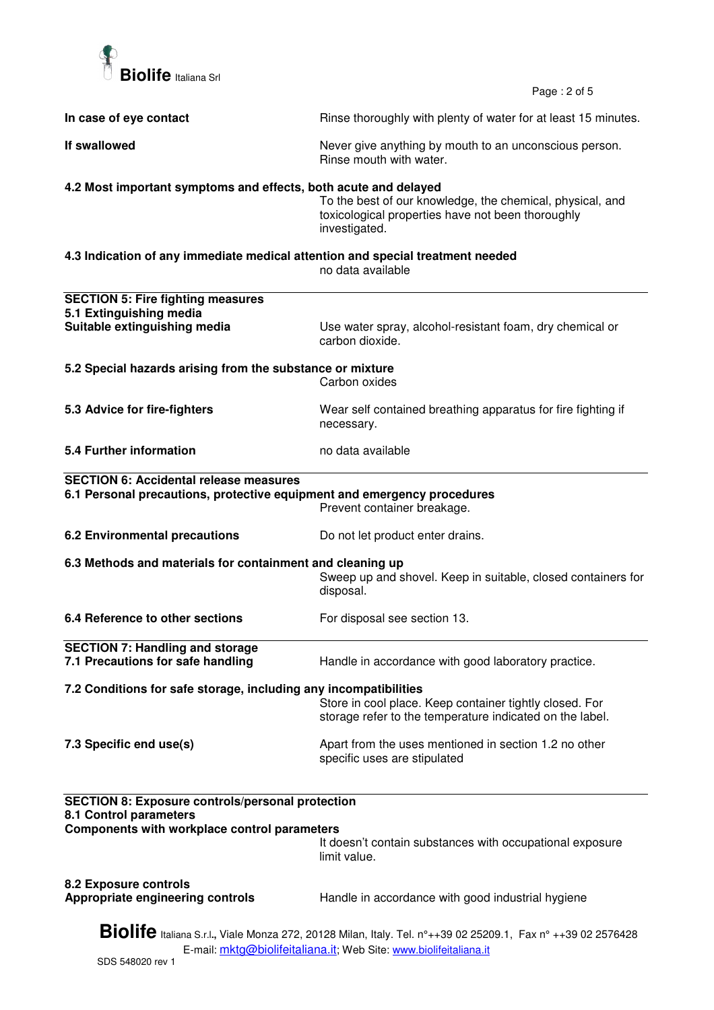

Page : 2 of 5

| In case of eye contact                                                                                                                                                                   | Rinse thoroughly with plenty of water for at least 15 minutes.                                                                  |  |  |
|------------------------------------------------------------------------------------------------------------------------------------------------------------------------------------------|---------------------------------------------------------------------------------------------------------------------------------|--|--|
| If swallowed                                                                                                                                                                             | Never give anything by mouth to an unconscious person.<br>Rinse mouth with water.                                               |  |  |
| 4.2 Most important symptoms and effects, both acute and delayed                                                                                                                          |                                                                                                                                 |  |  |
|                                                                                                                                                                                          | To the best of our knowledge, the chemical, physical, and<br>toxicological properties have not been thoroughly<br>investigated. |  |  |
| 4.3 Indication of any immediate medical attention and special treatment needed<br>no data available                                                                                      |                                                                                                                                 |  |  |
| <b>SECTION 5: Fire fighting measures</b>                                                                                                                                                 |                                                                                                                                 |  |  |
| 5.1 Extinguishing media                                                                                                                                                                  |                                                                                                                                 |  |  |
| Suitable extinguishing media                                                                                                                                                             | Use water spray, alcohol-resistant foam, dry chemical or<br>carbon dioxide.                                                     |  |  |
| 5.2 Special hazards arising from the substance or mixture                                                                                                                                |                                                                                                                                 |  |  |
|                                                                                                                                                                                          | Carbon oxides                                                                                                                   |  |  |
| 5.3 Advice for fire-fighters                                                                                                                                                             | Wear self contained breathing apparatus for fire fighting if<br>necessary.                                                      |  |  |
| 5.4 Further information                                                                                                                                                                  | no data available                                                                                                               |  |  |
| <b>SECTION 6: Accidental release measures</b>                                                                                                                                            |                                                                                                                                 |  |  |
| 6.1 Personal precautions, protective equipment and emergency procedures                                                                                                                  | Prevent container breakage.                                                                                                     |  |  |
| <b>6.2 Environmental precautions</b>                                                                                                                                                     | Do not let product enter drains.                                                                                                |  |  |
| 6.3 Methods and materials for containment and cleaning up                                                                                                                                | Sweep up and shovel. Keep in suitable, closed containers for<br>disposal.                                                       |  |  |
| 6.4 Reference to other sections                                                                                                                                                          | For disposal see section 13.                                                                                                    |  |  |
| <b>SECTION 7: Handling and storage</b>                                                                                                                                                   |                                                                                                                                 |  |  |
| 7.1 Precautions for safe handling                                                                                                                                                        | Handle in accordance with good laboratory practice.                                                                             |  |  |
| 7.2 Conditions for safe storage, including any incompatibilities                                                                                                                         |                                                                                                                                 |  |  |
|                                                                                                                                                                                          | Store in cool place. Keep container tightly closed. For<br>storage refer to the temperature indicated on the label.             |  |  |
| 7.3 Specific end use(s)                                                                                                                                                                  | Apart from the uses mentioned in section 1.2 no other<br>specific uses are stipulated                                           |  |  |
| <b>SECTION 8: Exposure controls/personal protection</b><br>8.1 Control parameters                                                                                                        |                                                                                                                                 |  |  |
| Components with workplace control parameters                                                                                                                                             |                                                                                                                                 |  |  |
|                                                                                                                                                                                          | It doesn't contain substances with occupational exposure<br>limit value.                                                        |  |  |
| 8.2 Exposure controls<br>Appropriate engineering controls                                                                                                                                | Handle in accordance with good industrial hygiene                                                                               |  |  |
| <b>Biolife</b> Italiana S.r.l., Viale Monza 272, 20128 Milan, Italy. Tel. n°++39 02 25209.1, Fax n° ++39 02 2576428<br>E-mail: mktg@biolifeitaliana.it; Web Site: www.biolifeitaliana.it |                                                                                                                                 |  |  |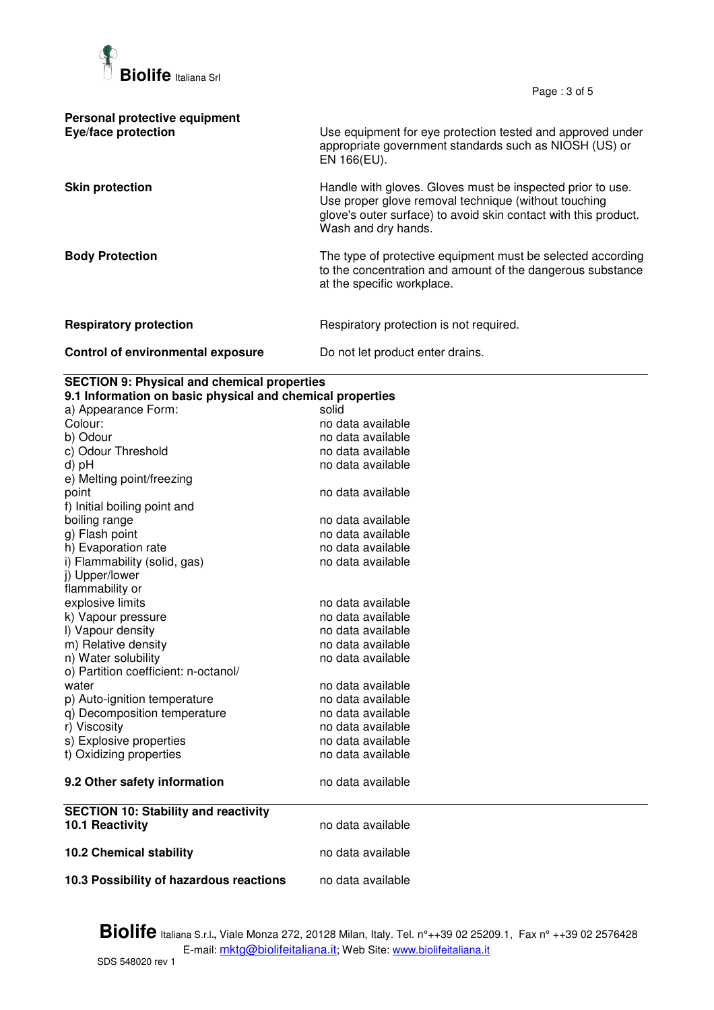

Page : 3 of 5

| Personal protective equipment<br>Eye/face protection | Use equipment for eye protection tested and approved under<br>appropriate government standards such as NIOSH (US) or<br>EN 166(EU).                                                                          |
|------------------------------------------------------|--------------------------------------------------------------------------------------------------------------------------------------------------------------------------------------------------------------|
| <b>Skin protection</b>                               | Handle with gloves. Gloves must be inspected prior to use.<br>Use proper glove removal technique (without touching<br>glove's outer surface) to avoid skin contact with this product.<br>Wash and dry hands. |
| <b>Body Protection</b>                               | The type of protective equipment must be selected according<br>to the concentration and amount of the dangerous substance<br>at the specific workplace.                                                      |
| <b>Respiratory protection</b>                        | Respiratory protection is not required.                                                                                                                                                                      |
| Control of environmental exposure                    | Do not let product enter drains.                                                                                                                                                                             |

## **SECTION 9: Physical and chemical properties**

| 9.1 Information on basic physical and chemical properties |                   |  |
|-----------------------------------------------------------|-------------------|--|
| a) Appearance Form:                                       | solid             |  |
| Colour:                                                   | no data available |  |
| b) Odour                                                  | no data available |  |
| c) Odour Threshold                                        | no data available |  |
| d) pH                                                     | no data available |  |
| e) Melting point/freezing                                 |                   |  |
| point                                                     | no data available |  |
| f) Initial boiling point and                              |                   |  |
| boiling range                                             | no data available |  |
| g) Flash point                                            | no data available |  |
| h) Evaporation rate                                       | no data available |  |
| i) Flammability (solid, gas)                              | no data available |  |
| j) Upper/lower                                            |                   |  |
| flammability or                                           |                   |  |
| explosive limits                                          | no data available |  |
| k) Vapour pressure                                        | no data available |  |
| I) Vapour density                                         | no data available |  |
| m) Relative density                                       | no data available |  |
| n) Water solubility                                       | no data available |  |
| o) Partition coefficient: n-octanol/                      |                   |  |
| water                                                     | no data available |  |
| p) Auto-ignition temperature                              | no data available |  |
| q) Decomposition temperature                              | no data available |  |
| r) Viscosity                                              | no data available |  |
| s) Explosive properties                                   | no data available |  |
| t) Oxidizing properties                                   | no data available |  |
| 9.2 Other safety information                              | no data available |  |
| <b>SECTION 10: Stability and reactivity</b>               |                   |  |
| 10.1 Reactivity                                           | no data available |  |
| <b>10.2 Chemical stability</b>                            | no data available |  |
|                                                           |                   |  |
| 10.3 Possibility of hazardous reactions                   | no data available |  |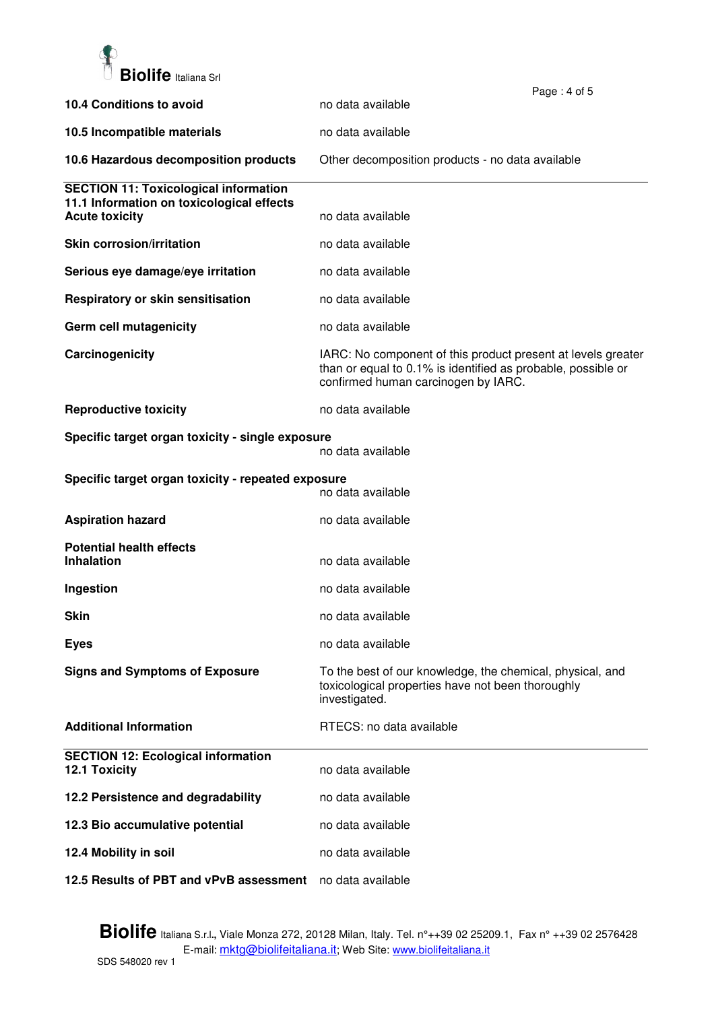

|                                                                    |                                                                                                                                                                     | Page: 4 of 5 |
|--------------------------------------------------------------------|---------------------------------------------------------------------------------------------------------------------------------------------------------------------|--------------|
| 10.4 Conditions to avoid                                           | no data available                                                                                                                                                   |              |
| 10.5 Incompatible materials                                        | no data available                                                                                                                                                   |              |
| 10.6 Hazardous decomposition products                              | Other decomposition products - no data available                                                                                                                    |              |
| <b>SECTION 11: Toxicological information</b>                       |                                                                                                                                                                     |              |
| 11.1 Information on toxicological effects<br><b>Acute toxicity</b> | no data available                                                                                                                                                   |              |
| <b>Skin corrosion/irritation</b>                                   | no data available                                                                                                                                                   |              |
| Serious eye damage/eye irritation                                  | no data available                                                                                                                                                   |              |
| Respiratory or skin sensitisation                                  | no data available                                                                                                                                                   |              |
| Germ cell mutagenicity                                             | no data available                                                                                                                                                   |              |
| Carcinogenicity                                                    | IARC: No component of this product present at levels greater<br>than or equal to 0.1% is identified as probable, possible or<br>confirmed human carcinogen by IARC. |              |
| <b>Reproductive toxicity</b>                                       | no data available                                                                                                                                                   |              |
| Specific target organ toxicity - single exposure                   | no data available                                                                                                                                                   |              |
| Specific target organ toxicity - repeated exposure                 | no data available                                                                                                                                                   |              |
| <b>Aspiration hazard</b>                                           | no data available                                                                                                                                                   |              |
| <b>Potential health effects</b><br><b>Inhalation</b>               | no data available                                                                                                                                                   |              |
|                                                                    |                                                                                                                                                                     |              |
| Ingestion                                                          | no data available                                                                                                                                                   |              |
| <b>Skin</b>                                                        | no data available                                                                                                                                                   |              |
| <b>Eyes</b>                                                        | no data available                                                                                                                                                   |              |
| <b>Signs and Symptoms of Exposure</b>                              | To the best of our knowledge, the chemical, physical, and<br>toxicological properties have not been thoroughly<br>investigated.                                     |              |
| <b>Additional Information</b>                                      | RTECS: no data available                                                                                                                                            |              |
| <b>SECTION 12: Ecological information</b><br>12.1 Toxicity         | no data available                                                                                                                                                   |              |
| 12.2 Persistence and degradability                                 | no data available                                                                                                                                                   |              |
| 12.3 Bio accumulative potential                                    | no data available                                                                                                                                                   |              |
| 12.4 Mobility in soil                                              | no data available                                                                                                                                                   |              |
| 12.5 Results of PBT and vPvB assessment                            | no data available                                                                                                                                                   |              |